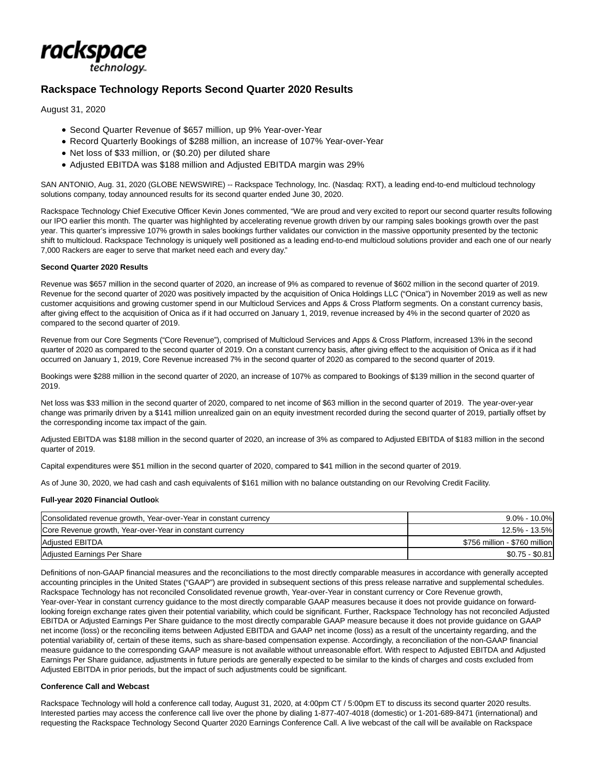

# **Rackspace Technology Reports Second Quarter 2020 Results**

August 31, 2020

- Second Quarter Revenue of \$657 million, up 9% Year-over-Year
- Record Quarterly Bookings of \$288 million, an increase of 107% Year-over-Year
- Net loss of \$33 million, or (\$0.20) per diluted share
- Adjusted EBITDA was \$188 million and Adjusted EBITDA margin was 29%

SAN ANTONIO, Aug. 31, 2020 (GLOBE NEWSWIRE) -- Rackspace Technology, Inc. (Nasdaq: RXT), a leading end-to-end multicloud technology solutions company, today announced results for its second quarter ended June 30, 2020.

Rackspace Technology Chief Executive Officer Kevin Jones commented, "We are proud and very excited to report our second quarter results following our IPO earlier this month. The quarter was highlighted by accelerating revenue growth driven by our ramping sales bookings growth over the past year. This quarter's impressive 107% growth in sales bookings further validates our conviction in the massive opportunity presented by the tectonic shift to multicloud. Rackspace Technology is uniquely well positioned as a leading end-to-end multicloud solutions provider and each one of our nearly 7,000 Rackers are eager to serve that market need each and every day."

## **Second Quarter 2020 Results**

Revenue was \$657 million in the second quarter of 2020, an increase of 9% as compared to revenue of \$602 million in the second quarter of 2019. Revenue for the second quarter of 2020 was positively impacted by the acquisition of Onica Holdings LLC ("Onica") in November 2019 as well as new customer acquisitions and growing customer spend in our Multicloud Services and Apps & Cross Platform segments. On a constant currency basis, after giving effect to the acquisition of Onica as if it had occurred on January 1, 2019, revenue increased by 4% in the second quarter of 2020 as compared to the second quarter of 2019.

Revenue from our Core Segments ("Core Revenue"), comprised of Multicloud Services and Apps & Cross Platform, increased 13% in the second quarter of 2020 as compared to the second quarter of 2019. On a constant currency basis, after giving effect to the acquisition of Onica as if it had occurred on January 1, 2019, Core Revenue increased 7% in the second quarter of 2020 as compared to the second quarter of 2019.

Bookings were \$288 million in the second quarter of 2020, an increase of 107% as compared to Bookings of \$139 million in the second quarter of 2019.

Net loss was \$33 million in the second quarter of 2020, compared to net income of \$63 million in the second quarter of 2019. The year-over-year change was primarily driven by a \$141 million unrealized gain on an equity investment recorded during the second quarter of 2019, partially offset by the corresponding income tax impact of the gain.

Adjusted EBITDA was \$188 million in the second quarter of 2020, an increase of 3% as compared to Adjusted EBITDA of \$183 million in the second quarter of 2019.

Capital expenditures were \$51 million in the second quarter of 2020, compared to \$41 million in the second quarter of 2019.

As of June 30, 2020, we had cash and cash equivalents of \$161 million with no balance outstanding on our Revolving Credit Facility.

#### **Full-year 2020 Financial Outloo**k

| Consolidated revenue growth, Year-over-Year in constant currency | $9.0\% - 10.0\%$              |
|------------------------------------------------------------------|-------------------------------|
| Core Revenue growth, Year-over-Year in constant currency         | 12.5% - 13.5%                 |
| Adjusted EBITDA                                                  | \$756 million - \$760 million |
| Adjusted Earnings Per Share                                      | $$0.75 - $0.81$               |

Definitions of non-GAAP financial measures and the reconciliations to the most directly comparable measures in accordance with generally accepted accounting principles in the United States ("GAAP") are provided in subsequent sections of this press release narrative and supplemental schedules. Rackspace Technology has not reconciled Consolidated revenue growth, Year-over-Year in constant currency or Core Revenue growth, Year-over-Year in constant currency guidance to the most directly comparable GAAP measures because it does not provide guidance on forwardlooking foreign exchange rates given their potential variability, which could be significant. Further, Rackspace Technology has not reconciled Adjusted EBITDA or Adjusted Earnings Per Share guidance to the most directly comparable GAAP measure because it does not provide guidance on GAAP net income (loss) or the reconciling items between Adjusted EBITDA and GAAP net income (loss) as a result of the uncertainty regarding, and the potential variability of, certain of these items, such as share-based compensation expense. Accordingly, a reconciliation of the non-GAAP financial measure guidance to the corresponding GAAP measure is not available without unreasonable effort. With respect to Adjusted EBITDA and Adjusted Earnings Per Share guidance, adjustments in future periods are generally expected to be similar to the kinds of charges and costs excluded from Adjusted EBITDA in prior periods, but the impact of such adjustments could be significant.

#### **Conference Call and Webcast**

Rackspace Technology will hold a conference call today, August 31, 2020, at 4:00pm CT / 5:00pm ET to discuss its second quarter 2020 results. Interested parties may access the conference call live over the phone by dialing 1-877-407-4018 (domestic) or 1-201-689-8471 (international) and requesting the Rackspace Technology Second Quarter 2020 Earnings Conference Call. A live webcast of the call will be available on Rackspace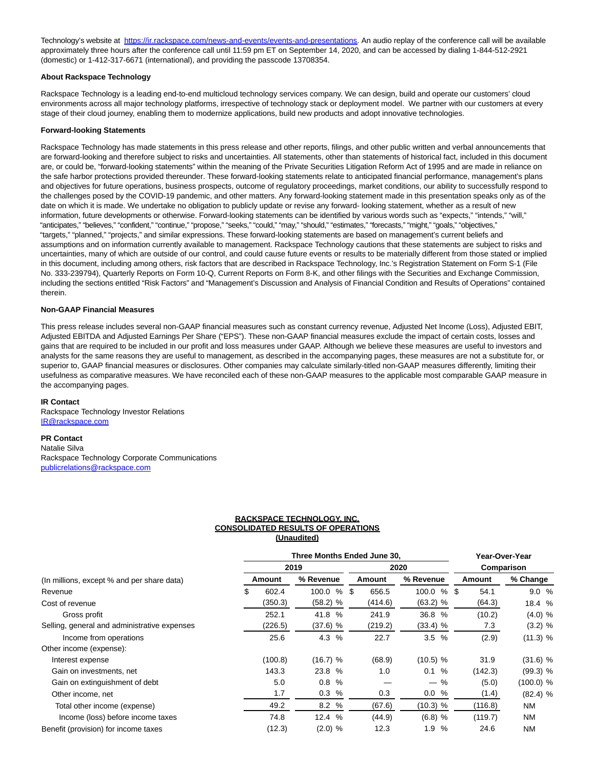Technology's website at [https://ir.rackspace.com/news-and-events/events-and-presentations.](https://www.globenewswire.com/Tracker?data=7Fk7p4QZVjc0xlIE4D6qPtPFtGkRjQO-MAt9QNCmnwukQxSyiYMfxGJBKuVhm81F3ync9YTSKP692umR8eLyX-IujNkw7J_jujQ1jEd05cwAGtFbBVQEFr9RliV5p1PhY3jExZOnXc64cVd8lm4nRO-_1soEPiuWBZ-ZL4KUTDXKeI7U9_SnY7dpW9ZdlDoS-LPYnPM8TNj8N1u5Tfsfiw==) An audio replay of the conference call will be available approximately three hours after the conference call until 11:59 pm ET on September 14, 2020, and can be accessed by dialing 1-844-512-2921 (domestic) or 1-412-317-6671 (international), and providing the passcode 13708354.

#### **About Rackspace Technology**

Rackspace Technology is a leading end-to-end multicloud technology services company. We can design, build and operate our customers' cloud environments across all major technology platforms, irrespective of technology stack or deployment model. We partner with our customers at every stage of their cloud journey, enabling them to modernize applications, build new products and adopt innovative technologies.

#### **Forward-looking Statements**

Rackspace Technology has made statements in this press release and other reports, filings, and other public written and verbal announcements that are forward-looking and therefore subject to risks and uncertainties. All statements, other than statements of historical fact, included in this document are, or could be, "forward-looking statements" within the meaning of the Private Securities Litigation Reform Act of 1995 and are made in reliance on the safe harbor protections provided thereunder. These forward-looking statements relate to anticipated financial performance, management's plans and objectives for future operations, business prospects, outcome of regulatory proceedings, market conditions, our ability to successfully respond to the challenges posed by the COVID-19 pandemic, and other matters. Any forward-looking statement made in this presentation speaks only as of the date on which it is made. We undertake no obligation to publicly update or revise any forward- looking statement, whether as a result of new information, future developments or otherwise. Forward-looking statements can be identified by various words such as "expects," "intends," "will," "anticipates," "believes," "confident," "continue," "propose," "seeks," "could," "may," "should," "estimates," "forecasts," "might," "goals," "objectives," "targets," "planned," "projects," and similar expressions. These forward-looking statements are based on management's current beliefs and assumptions and on information currently available to management. Rackspace Technology cautions that these statements are subject to risks and uncertainties, many of which are outside of our control, and could cause future events or results to be materially different from those stated or implied in this document, including among others, risk factors that are described in Rackspace Technology, Inc.'s Registration Statement on Form S-1 (File No. 333-239794), Quarterly Reports on Form 10-Q, Current Reports on Form 8-K, and other filings with the Securities and Exchange Commission, including the sections entitled "Risk Factors" and "Management's Discussion and Analysis of Financial Condition and Results of Operations" contained therein.

### **Non-GAAP Financial Measures**

This press release includes several non-GAAP financial measures such as constant currency revenue, Adjusted Net Income (Loss), Adjusted EBIT, Adjusted EBITDA and Adjusted Earnings Per Share ("EPS"). These non-GAAP financial measures exclude the impact of certain costs, losses and gains that are required to be included in our profit and loss measures under GAAP. Although we believe these measures are useful to investors and analysts for the same reasons they are useful to management, as described in the accompanying pages, these measures are not a substitute for, or superior to, GAAP financial measures or disclosures. Other companies may calculate similarly-titled non-GAAP measures differently, limiting their usefulness as comparative measures. We have reconciled each of these non-GAAP measures to the applicable most comparable GAAP measure in the accompanying pages.

#### **IR Contact**

Rackspace Technology Investor Relations [IR@rackspace.com](https://www.globenewswire.com/Tracker?data=zO6RkJbErXrmGL-tZP3l9Rr0XoqUcGvW9RmnzpWVNOyQPalNFOU6UTmeho2LlIaftBiw3AcXDJnjwaJr1ZJ6aQ==)

#### **PR Contact**

Natalie Silva Rackspace Technology Corporate Communications [publicrelations@rackspace.com](https://www.globenewswire.com/Tracker?data=Izp2h0mW5jCdC-ysmEpJoxYa0Cyhi3nEhOx2BBnTu-dO-85W7LEi5cUHy0t-kyTyXC1eU2OZEPtPXy-hwYfmXWrwVJgW9OKGmrJIB7p8sEvSdYr9lLLSJTfqpTVGmHzg)

#### **RACKSPACE TECHNOLOGY, INC. CONSOLIDATED RESULTS OF OPERATIONS (Unaudited)**

|                                              |      | Three Months Ended June 30. |            | Year-Over-Year |            |  |               |             |  |  |
|----------------------------------------------|------|-----------------------------|------------|----------------|------------|--|---------------|-------------|--|--|
|                                              | 2019 |                             |            |                | 2020       |  | Comparison    |             |  |  |
| (In millions, except % and per share data)   |      | Amount                      | % Revenue  | Amount         | % Revenue  |  | <b>Amount</b> | % Change    |  |  |
| Revenue                                      | S    | 602.4                       | 100.0<br>% | \$<br>656.5    | 100.0 % \$ |  | 54.1          | 9.0%        |  |  |
| Cost of revenue                              |      | (350.3)                     | (58.2) %   | (414.6)        | $(63.2)$ % |  | (64.3)        | 18.4 %      |  |  |
| Gross profit                                 |      | 252.1                       | 41.8 %     | 241.9          | 36.8 %     |  | (10.2)        | $(4.0)$ %   |  |  |
| Selling, general and administrative expenses |      | (226.5)                     | $(37.6)$ % | (219.2)        | (33.4) %   |  | 7.3           | $(3.2)$ %   |  |  |
| Income from operations                       |      | 25.6                        | 4.3 %      | 22.7           | 3.5%       |  | (2.9)         | (11.3) %    |  |  |
| Other income (expense):                      |      |                             |            |                |            |  |               |             |  |  |
| Interest expense                             |      | (100.8)                     | (16.7) %   | (68.9)         | (10.5) %   |  | 31.9          | (31.6) %    |  |  |
| Gain on investments, net                     |      | 143.3                       | 23.8 %     | 1.0            | 0.1 %      |  | (142.3)       | $(99.3)$ %  |  |  |
| Gain on extinguishment of debt               |      | 5.0                         | 0.8%       |                | $-$ %      |  | (5.0)         | $(100.0)$ % |  |  |
| Other income, net                            |      | 1.7                         | 0.3%       | 0.3            | 0.0 %      |  | (1.4)         | $(82.4)$ %  |  |  |
| Total other income (expense)                 |      | 49.2                        | 8.2%       | (67.6)         | (10.3) %   |  | (116.8)       | NM          |  |  |
| Income (loss) before income taxes            |      | 74.8                        | 12.4%      | (44.9)         | $(6.8)$ %  |  | (119.7)       | NM          |  |  |
| Benefit (provision) for income taxes         |      | (12.3)                      | (2.0) %    | 12.3           | %<br>1.9   |  | 24.6          | ΝM          |  |  |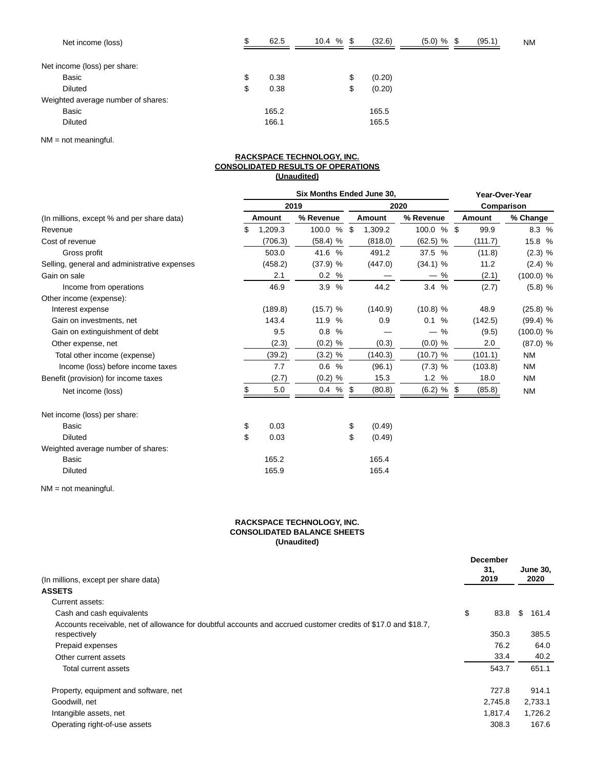| Net income (loss)                  | ¢<br>ъ | 62.5  | 10.4% | (32.6)       | $(5.0)$ % | - \$ | (95.1) | ΝM |
|------------------------------------|--------|-------|-------|--------------|-----------|------|--------|----|
| Net income (loss) per share:       |        |       |       |              |           |      |        |    |
| Basic                              | \$     | 0.38  |       | \$<br>(0.20) |           |      |        |    |
| <b>Diluted</b>                     | S      | 0.38  |       | \$<br>(0.20) |           |      |        |    |
| Weighted average number of shares: |        |       |       |              |           |      |        |    |
| Basic                              |        | 165.2 |       | 165.5        |           |      |        |    |
| <b>Diluted</b>                     |        | 166.1 |       | 165.5        |           |      |        |    |

NM = not meaningful.

#### **RACKSPACE TECHNOLOGY, INC. CONSOLIDATED RESULTS OF OPERATIONS (Unaudited)**

|                                              |    |         | <b>Six Months Ended June 30.</b> |               |                               | Year-Over-Year |         |            |  |
|----------------------------------------------|----|---------|----------------------------------|---------------|-------------------------------|----------------|---------|------------|--|
|                                              |    |         | 2019                             |               | 2020                          |                |         | Comparison |  |
| (In millions, except % and per share data)   |    | Amount  | % Revenue                        | <b>Amount</b> | % Revenue                     |                | Amount  | % Change   |  |
| Revenue                                      | S  | 1,209.3 | 100.0 %                          | \$<br>1,309.2 | 100.0 % \$                    |                | 99.9    | 8.3 %      |  |
| Cost of revenue                              |    | (706.3) | $(58.4)$ %                       | (818.0)       | $(62.5)$ %                    |                | (111.7) | 15.8 %     |  |
| Gross profit                                 |    | 503.0   | 41.6 %                           | 491.2         | 37.5 %                        |                | (11.8)  | $(2.3)$ %  |  |
| Selling, general and administrative expenses |    | (458.2) | (37.9) %                         | (447.0)       | $(34.1)$ %                    |                | 11.2    | $(2.4)$ %  |  |
| Gain on sale                                 |    | 2.1     | 0.2 %                            |               | $-$ %                         |                | (2.1)   | (100.0) %  |  |
| Income from operations                       |    | 46.9    | 3.9%                             | 44.2          | 3.4%                          |                | (2.7)   | $(5.8)$ %  |  |
| Other income (expense):                      |    |         |                                  |               |                               |                |         |            |  |
| Interest expense                             |    | (189.8) | (15.7) %                         | (140.9)       | (10.8) %                      |                | 48.9    | $(25.8)$ % |  |
| Gain on investments, net                     |    | 143.4   | 11.9<br>%                        | 0.9           | 0.1<br>%                      |                | (142.5) | $(99.4)$ % |  |
| Gain on extinguishment of debt               |    | 9.5     | 0.8<br>%                         |               | %<br>$\overline{\phantom{m}}$ |                | (9.5)   | (100.0) %  |  |
| Other expense, net                           |    | (2.3)   | $(0.2)$ %                        | (0.3)         | $(0.0)$ %                     |                | 2.0     | $(87.0)$ % |  |
| Total other income (expense)                 |    | (39.2)  | $(3.2)$ %                        | (140.3)       | (10.7) %                      |                | (101.1) | <b>NM</b>  |  |
| Income (loss) before income taxes            |    | 7.7     | 0.6%                             | (96.1)        | (7.3) %                       |                | (103.8) | <b>NM</b>  |  |
| Benefit (provision) for income taxes         |    | (2.7)   | $(0.2)$ %                        | 15.3          | 1.2 %                         |                | 18.0    | <b>NM</b>  |  |
| Net income (loss)                            | \$ | 5.0     | 0.4<br>%                         | \$<br>(80.8)  | $(6.2)$ %                     | \$             | (85.8)  | <b>NM</b>  |  |
| Net income (loss) per share:                 |    |         |                                  |               |                               |                |         |            |  |
| <b>Basic</b>                                 | \$ | 0.03    |                                  | \$<br>(0.49)  |                               |                |         |            |  |
| Diluted                                      | \$ | 0.03    |                                  | \$<br>(0.49)  |                               |                |         |            |  |
| Weighted average number of shares:           |    |         |                                  |               |                               |                |         |            |  |
| Basic                                        |    | 165.2   |                                  | 165.4         |                               |                |         |            |  |
| <b>Diluted</b>                               |    | 165.9   |                                  | 165.4         |                               |                |         |            |  |

NM = not meaningful.

# **RACKSPACE TECHNOLOGY, INC. CONSOLIDATED BALANCE SHEETS (Unaudited)**

|                                                                                                                                | <b>December</b> |                 |         |
|--------------------------------------------------------------------------------------------------------------------------------|-----------------|-----------------|---------|
|                                                                                                                                | 31,             | <b>June 30,</b> |         |
| (In millions, except per share data)                                                                                           | 2019            |                 | 2020    |
| <b>ASSETS</b>                                                                                                                  |                 |                 |         |
| Current assets:                                                                                                                |                 |                 |         |
| Cash and cash equivalents                                                                                                      | \$<br>83.8      | S               | 161.4   |
| Accounts receivable, net of allowance for doubtful accounts and accrued customer credits of \$17.0 and \$18.7,<br>respectively | 350.3           |                 | 385.5   |
| Prepaid expenses                                                                                                               | 76.2            |                 | 64.0    |
| Other current assets                                                                                                           | 33.4            |                 | 40.2    |
| Total current assets                                                                                                           | 543.7           |                 | 651.1   |
| Property, equipment and software, net                                                                                          | 727.8           |                 | 914.1   |
| Goodwill, net                                                                                                                  | 2,745.8         |                 | 2,733.1 |
| Intangible assets, net                                                                                                         | 1.817.4         |                 | 1,726.2 |
| Operating right-of-use assets                                                                                                  | 308.3           |                 | 167.6   |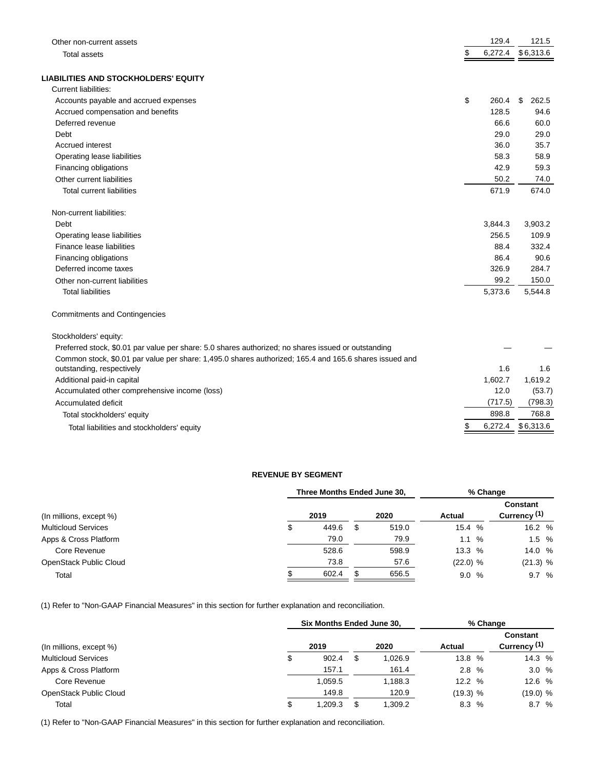| Other non-current assets                                                                               | 129.4         | 121.5       |
|--------------------------------------------------------------------------------------------------------|---------------|-------------|
| <b>Total assets</b>                                                                                    | \$<br>6,272.4 | \$6,313.6   |
| <b>LIABILITIES AND STOCKHOLDERS' EQUITY</b>                                                            |               |             |
| Current liabilities:                                                                                   |               |             |
| Accounts payable and accrued expenses                                                                  | \$<br>260.4   | \$<br>262.5 |
| Accrued compensation and benefits                                                                      | 128.5         | 94.6        |
| Deferred revenue                                                                                       | 66.6          | 60.0        |
| Debt                                                                                                   | 29.0          | 29.0        |
| <b>Accrued interest</b>                                                                                | 36.0          | 35.7        |
| Operating lease liabilities                                                                            | 58.3          | 58.9        |
| Financing obligations                                                                                  | 42.9          | 59.3        |
| Other current liabilities                                                                              | 50.2          | 74.0        |
| <b>Total current liabilities</b>                                                                       | 671.9         | 674.0       |
| Non-current liabilities:                                                                               |               |             |
| Debt                                                                                                   | 3,844.3       | 3,903.2     |
| Operating lease liabilities                                                                            | 256.5         | 109.9       |
| Finance lease liabilities                                                                              | 88.4          | 332.4       |
| Financing obligations                                                                                  | 86.4          | 90.6        |
| Deferred income taxes                                                                                  | 326.9         | 284.7       |
| Other non-current liabilities                                                                          | 99.2          | 150.0       |
| <b>Total liabilities</b>                                                                               | 5,373.6       | 5,544.8     |
| <b>Commitments and Contingencies</b>                                                                   |               |             |
| Stockholders' equity:                                                                                  |               |             |
| Preferred stock, \$0.01 par value per share: 5.0 shares authorized; no shares issued or outstanding    |               |             |
| Common stock, \$0.01 par value per share: 1,495.0 shares authorized; 165.4 and 165.6 shares issued and |               |             |
| outstanding, respectively                                                                              | 1.6           | 1.6         |
| Additional paid-in capital                                                                             | 1,602.7       | 1,619.2     |
| Accumulated other comprehensive income (loss)                                                          | 12.0          | (53.7)      |
| Accumulated deficit                                                                                    | (717.5)       | (798.3)     |
| Total stockholders' equity                                                                             | 898.8         | 768.8       |
| Total liabilities and stockholders' equity                                                             | \$<br>6,272.4 | \$6,313.6   |

# **REVENUE BY SEGMENT**

|                             | Three Months Ended June 30. |   |       |          |  | % Change                 |  |  |  |  |
|-----------------------------|-----------------------------|---|-------|----------|--|--------------------------|--|--|--|--|
| $($ ln millions, except $%$ | 2019                        |   | 2020  | Actual   |  | Constant<br>Currency (1) |  |  |  |  |
| <b>Multicloud Services</b>  | \$<br>449.6                 | S | 519.0 | 15.4 %   |  | 16.2 %                   |  |  |  |  |
| Apps & Cross Platform       | 79.0                        |   | 79.9  | 1.1%     |  | 1.5%                     |  |  |  |  |
| Core Revenue                | 528.6                       |   | 598.9 | 13.3%    |  | 14.0 %                   |  |  |  |  |
| OpenStack Public Cloud      | 73.8                        |   | 57.6  | (22.0) % |  | (21.3) %                 |  |  |  |  |
| Total                       | 602.4                       |   | 656.5 | 9.0%     |  | 9.7%                     |  |  |  |  |

(1) Refer to "Non-GAAP Financial Measures" in this section for further explanation and reconciliation.

|                            | Six Months Ended June 30, |    |         |            |  | % Change                                   |
|----------------------------|---------------------------|----|---------|------------|--|--------------------------------------------|
| (In millions, except %)    | 2019                      |    | 2020    | Actual     |  | <b>Constant</b><br>Currency <sup>(1)</sup> |
| <b>Multicloud Services</b> | \$<br>902.4               | S  | 1,026.9 | 13.8 %     |  | 14.3 %                                     |
| Apps & Cross Platform      | 157.1                     |    | 161.4   | 2.8%       |  | 3.0%                                       |
| Core Revenue               | 1,059.5                   |    | 1,188.3 | 12.2%      |  | 12.6 %                                     |
| OpenStack Public Cloud     | 149.8                     |    | 120.9   | $(19.3)$ % |  | (19.0) %                                   |
| Total                      | \$<br>209.3. ا            | \$ | 1,309.2 | 8.3 %      |  | 8.7%                                       |

(1) Refer to "Non-GAAP Financial Measures" in this section for further explanation and reconciliation.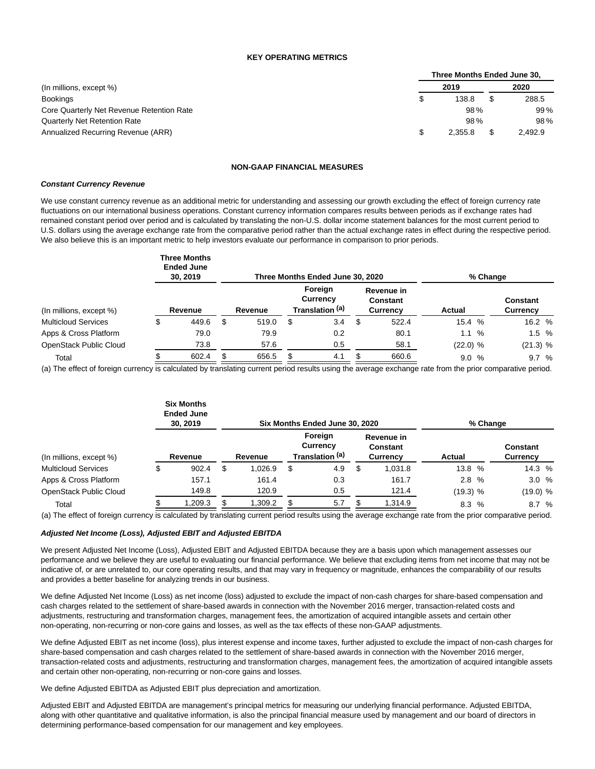#### **KEY OPERATING METRICS**

|                                           | Three Months Ended June 30, |         |  |         |  |  |  |  |  |
|-------------------------------------------|-----------------------------|---------|--|---------|--|--|--|--|--|
| (In millions, except %)                   |                             | 2019    |  | 2020    |  |  |  |  |  |
| <b>Bookings</b>                           |                             | 138.8   |  | 288.5   |  |  |  |  |  |
| Core Quarterly Net Revenue Retention Rate |                             | 98%     |  | 99%     |  |  |  |  |  |
| <b>Quarterly Net Retention Rate</b>       |                             | 98%     |  | 98%     |  |  |  |  |  |
| Annualized Recurring Revenue (ARR)        |                             | 2.355.8 |  | 2,492.9 |  |  |  |  |  |

#### **NON-GAAP FINANCIAL MEASURES**

#### **Constant Currency Revenue**

We use constant currency revenue as an additional metric for understanding and assessing our growth excluding the effect of foreign currency rate fluctuations on our international business operations. Constant currency information compares results between periods as if exchange rates had remained constant period over period and is calculated by translating the non-U.S. dollar income statement balances for the most current period to U.S. dollars using the average exchange rate from the comparative period rather than the actual exchange rates in effect during the respective period. We also believe this is an important metric to help investors evaluate our performance in comparison to prior periods.

|                            | <b>Three Months</b><br><b>Ended June</b><br>30, 2019 |             |     | Three Months Ended June 30, 2020       |                                    | % Change   |                             |
|----------------------------|------------------------------------------------------|-------------|-----|----------------------------------------|------------------------------------|------------|-----------------------------|
| (In millions, except %)    | Revenue                                              | Revenue     |     | Foreign<br>Currency<br>Translation (a) | Revenue in<br>Constant<br>Currency | Actual     | <b>Constant</b><br>Currency |
| <b>Multicloud Services</b> | 449.6                                                | \$<br>519.0 | \$  | 3.4                                    | \$<br>522.4                        | 15.4 %     | 16.2 %                      |
| Apps & Cross Platform      | 79.0                                                 | 79.9        |     | 0.2                                    | 80.1                               | 1.1 %      | 1.5%                        |
| OpenStack Public Cloud     | 73.8                                                 | 57.6        |     | 0.5                                    | 58.1                               | $(22.0)$ % | (21.3) %                    |
| Total                      | 602.4                                                | 656.5       | \$. | 4.1                                    | 660.6                              | 9.0<br>%   | 9.7%                        |

(a) The effect of foreign currency is calculated by translating current period results using the average exchange rate from the prior comparative period.

|                            | <b>Six Months</b><br><b>Ended June</b><br>30, 2019 |         |         |                                        | Six Months Ended June 30, 2020 |   |                                           |          | % Change |                             |  |
|----------------------------|----------------------------------------------------|---------|---------|----------------------------------------|--------------------------------|---|-------------------------------------------|----------|----------|-----------------------------|--|
| (In millions, except %)    | Revenue                                            | Revenue |         | Foreign<br>Currency<br>Translation (a) |                                |   | Revenue in<br><b>Constant</b><br>Currency | Actual   |          | <b>Constant</b><br>Currency |  |
| <b>Multicloud Services</b> | 902.4                                              | S       | 1.026.9 | \$                                     | 4.9                            | S | 1,031.8                                   | 13.8 %   |          | 14.3 %                      |  |
| Apps & Cross Platform      | 157.1                                              |         | 161.4   |                                        | 0.3                            |   | 161.7                                     | 2.8%     |          | 3.0%                        |  |
| OpenStack Public Cloud     | 149.8                                              |         | 120.9   |                                        | 0.5                            |   | 121.4                                     | (19.3) % |          | (19.0) %                    |  |
| Total                      | 1,209.3                                            |         | 1,309.2 | £.                                     | 5.7                            |   | 1.314.9                                   | 8.3 %    |          | 8.7%                        |  |

(a) The effect of foreign currency is calculated by translating current period results using the average exchange rate from the prior comparative period.

#### **Adjusted Net Income (Loss), Adjusted EBIT and Adjusted EBITDA**

We present Adjusted Net Income (Loss), Adjusted EBIT and Adjusted EBITDA because they are a basis upon which management assesses our performance and we believe they are useful to evaluating our financial performance. We believe that excluding items from net income that may not be indicative of, or are unrelated to, our core operating results, and that may vary in frequency or magnitude, enhances the comparability of our results and provides a better baseline for analyzing trends in our business.

We define Adjusted Net Income (Loss) as net income (loss) adjusted to exclude the impact of non-cash charges for share-based compensation and cash charges related to the settlement of share-based awards in connection with the November 2016 merger, transaction-related costs and adjustments, restructuring and transformation charges, management fees, the amortization of acquired intangible assets and certain other non-operating, non-recurring or non-core gains and losses, as well as the tax effects of these non-GAAP adjustments.

We define Adjusted EBIT as net income (loss), plus interest expense and income taxes, further adjusted to exclude the impact of non-cash charges for share-based compensation and cash charges related to the settlement of share-based awards in connection with the November 2016 merger, transaction-related costs and adjustments, restructuring and transformation charges, management fees, the amortization of acquired intangible assets and certain other non-operating, non-recurring or non-core gains and losses.

We define Adjusted EBITDA as Adjusted EBIT plus depreciation and amortization.

Adjusted EBIT and Adjusted EBITDA are management's principal metrics for measuring our underlying financial performance. Adjusted EBITDA, along with other quantitative and qualitative information, is also the principal financial measure used by management and our board of directors in determining performance-based compensation for our management and key employees.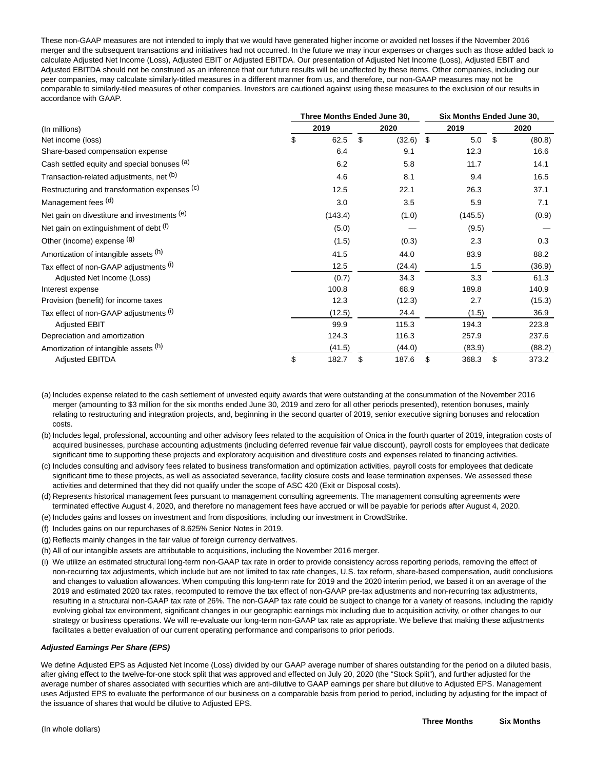These non-GAAP measures are not intended to imply that we would have generated higher income or avoided net losses if the November 2016 merger and the subsequent transactions and initiatives had not occurred. In the future we may incur expenses or charges such as those added back to calculate Adjusted Net Income (Loss), Adjusted EBIT or Adjusted EBITDA. Our presentation of Adjusted Net Income (Loss), Adjusted EBIT and Adjusted EBITDA should not be construed as an inference that our future results will be unaffected by these items. Other companies, including our peer companies, may calculate similarly-titled measures in a different manner from us, and therefore, our non-GAAP measures may not be comparable to similarly-tiled measures of other companies. Investors are cautioned against using these measures to the exclusion of our results in accordance with GAAP.

|                                               |    | Three Months Ended June 30, | Six Months Ended June 30, |    |         |      |        |  |
|-----------------------------------------------|----|-----------------------------|---------------------------|----|---------|------|--------|--|
| (In millions)                                 |    | 2020                        | 2019                      |    |         | 2020 |        |  |
| Net income (loss)                             | \$ | 62.5                        | \$<br>(32.6)              | \$ | 5.0     | -\$  | (80.8) |  |
| Share-based compensation expense              |    | 6.4                         | 9.1                       |    | 12.3    |      | 16.6   |  |
| Cash settled equity and special bonuses (a)   |    | 6.2                         | 5.8                       |    | 11.7    |      | 14.1   |  |
| Transaction-related adjustments, net (b)      |    | 4.6                         | 8.1                       |    | 9.4     |      | 16.5   |  |
| Restructuring and transformation expenses (c) |    | 12.5                        | 22.1                      |    | 26.3    |      | 37.1   |  |
| Management fees (d)                           |    | 3.0                         | 3.5                       |    | 5.9     |      | 7.1    |  |
| Net gain on divestiture and investments (e)   |    | (143.4)                     | (1.0)                     |    | (145.5) |      | (0.9)  |  |
| Net gain on extinguishment of debt (f)        |    | (5.0)                       |                           |    | (9.5)   |      |        |  |
| Other (income) expense (g)                    |    | (1.5)                       | (0.3)                     |    | 2.3     |      | 0.3    |  |
| Amortization of intangible assets (h)         |    | 41.5                        | 44.0                      |    | 83.9    |      | 88.2   |  |
| Tax effect of non-GAAP adjustments (i)        |    | 12.5                        | (24.4)                    |    | 1.5     |      | (36.9) |  |
| Adjusted Net Income (Loss)                    |    | (0.7)                       | 34.3                      |    | 3.3     |      | 61.3   |  |
| Interest expense                              |    | 100.8                       | 68.9                      |    | 189.8   |      | 140.9  |  |
| Provision (benefit) for income taxes          |    | 12.3                        | (12.3)                    |    | 2.7     |      | (15.3) |  |
| Tax effect of non-GAAP adjustments (i)        |    | (12.5)                      | 24.4                      |    | (1.5)   |      | 36.9   |  |
| <b>Adjusted EBIT</b>                          |    | 99.9                        | 115.3                     |    | 194.3   |      | 223.8  |  |
| Depreciation and amortization                 |    | 124.3                       | 116.3                     |    | 257.9   |      | 237.6  |  |
| Amortization of intangible assets (h)         |    | (41.5)                      | (44.0)                    |    | (83.9)  |      | (88.2) |  |
| <b>Adjusted EBITDA</b>                        | \$ | 182.7                       | \$<br>187.6               | \$ | 368.3   | \$   | 373.2  |  |

(a) Includes expense related to the cash settlement of unvested equity awards that were outstanding at the consummation of the November 2016 merger (amounting to \$3 million for the six months ended June 30, 2019 and zero for all other periods presented), retention bonuses, mainly relating to restructuring and integration projects, and, beginning in the second quarter of 2019, senior executive signing bonuses and relocation costs.

(b) Includes legal, professional, accounting and other advisory fees related to the acquisition of Onica in the fourth quarter of 2019, integration costs of acquired businesses, purchase accounting adjustments (including deferred revenue fair value discount), payroll costs for employees that dedicate significant time to supporting these projects and exploratory acquisition and divestiture costs and expenses related to financing activities.

(c) Includes consulting and advisory fees related to business transformation and optimization activities, payroll costs for employees that dedicate significant time to these projects, as well as associated severance, facility closure costs and lease termination expenses. We assessed these activities and determined that they did not qualify under the scope of ASC 420 (Exit or Disposal costs).

(d) Represents historical management fees pursuant to management consulting agreements. The management consulting agreements were terminated effective August 4, 2020, and therefore no management fees have accrued or will be payable for periods after August 4, 2020.

- (e) Includes gains and losses on investment and from dispositions, including our investment in CrowdStrike.
- (f) Includes gains on our repurchases of 8.625% Senior Notes in 2019.
- (g) Reflects mainly changes in the fair value of foreign currency derivatives.
- (h) All of our intangible assets are attributable to acquisitions, including the November 2016 merger.
- (i) We utilize an estimated structural long-term non-GAAP tax rate in order to provide consistency across reporting periods, removing the effect of non-recurring tax adjustments, which include but are not limited to tax rate changes, U.S. tax reform, share-based compensation, audit conclusions and changes to valuation allowances. When computing this long-term rate for 2019 and the 2020 interim period, we based it on an average of the 2019 and estimated 2020 tax rates, recomputed to remove the tax effect of non-GAAP pre-tax adjustments and non-recurring tax adjustments, resulting in a structural non-GAAP tax rate of 26%. The non-GAAP tax rate could be subject to change for a variety of reasons, including the rapidly evolving global tax environment, significant changes in our geographic earnings mix including due to acquisition activity, or other changes to our strategy or business operations. We will re-evaluate our long-term non-GAAP tax rate as appropriate. We believe that making these adjustments facilitates a better evaluation of our current operating performance and comparisons to prior periods.

#### **Adjusted Earnings Per Share (EPS)**

We define Adjusted EPS as Adjusted Net Income (Loss) divided by our GAAP average number of shares outstanding for the period on a diluted basis, after giving effect to the twelve-for-one stock split that was approved and effected on July 20, 2020 (the "Stock Split"), and further adjusted for the average number of shares associated with securities which are anti-dilutive to GAAP earnings per share but dilutive to Adjusted EPS. Management uses Adjusted EPS to evaluate the performance of our business on a comparable basis from period to period, including by adjusting for the impact of the issuance of shares that would be dilutive to Adjusted EPS.